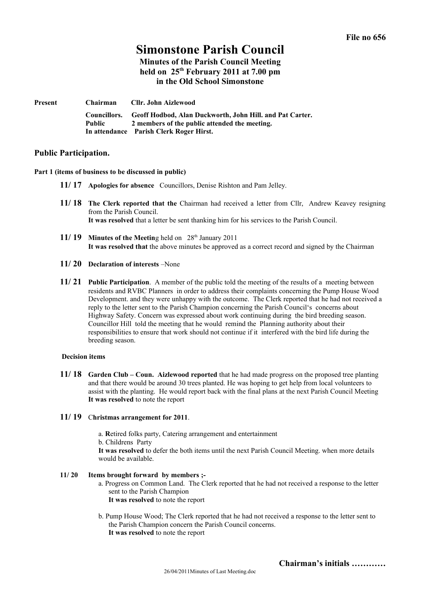## **Simonstone Parish Council Minutes of the Parish Council Meeting**

# **held on 25th February 2011 at 7.00 pm in the Old School Simonstone**

| Present | <b>Chairman</b>        | Cllr. John Aizlewood                                                                                                                                 |
|---------|------------------------|------------------------------------------------------------------------------------------------------------------------------------------------------|
|         | Councillors.<br>Public | Geoff Hodbod, Alan Duckworth, John Hill. and Pat Carter.<br>2 members of the public attended the meeting.<br>In attendance Parish Clerk Roger Hirst. |

## **Public Participation.**

#### **Part 1 (items of business to be discussed in public)**

- **11/ 17 Apologies for absence** Councillors, Denise Rishton and Pam Jelley.
- **11/ 18 The Clerk reported that the** Chairman had received a letter from Cllr, Andrew Keavey resigning from the Parish Council. **It was resolved** that a letter be sent thanking him for his services to the Parish Council.
- **11/ 19 Minutes of the Meeting held on** 28<sup>th</sup> January 2011 **It was resolved that** the above minutes be approved as a correct record and signed by the Chairman
- **11/ 20 Declaration of interests** –None
- **11/ 21 Public Participation**. A member of the public told the meeting of the results of a meeting between residents and RVBC Planners in order to address their complaints concerning the Pump House Wood Development. and they were unhappy with the outcome. The Clerk reported that he had not received a reply to the letter sent to the Parish Champion concerning the Parish Council's concerns about Highway Safety. Concern was expressed about work continuing during the bird breeding season. Councillor Hill told the meeting that he would remind the Planning authority about their responsibilities to ensure that work should not continue if it interfered with the bird life during the breeding season.

#### **Decision items**

**11/ 18 Garden Club – Coun. Aizlewood reported** that he had made progress on the proposed tree planting and that there would be around 30 trees planted. He was hoping to get help from local volunteers to assist with the planting. He would report back with the final plans at the next Parish Council Meeting **It was resolved** to note the report

### **11/ 19** C**hristmas arrangement for 2011**.

- a. **R**etired folks party, Catering arrangement and entertainment
- b. Childrens Party

**It was resolved** to defer the both items until the next Parish Council Meeting. when more details would be available.

#### **11/ 20 Items brought forward by members ;-**

- a. Progress on Common Land. The Clerk reported that he had not received a response to the letter sent to the Parish Champion
	- **It was resolved** to note the report
- b. Pump House Wood; The Clerk reported that he had not received a response to the letter sent to the Parish Champion concern the Parish Council concerns. **It was resolved** to note the report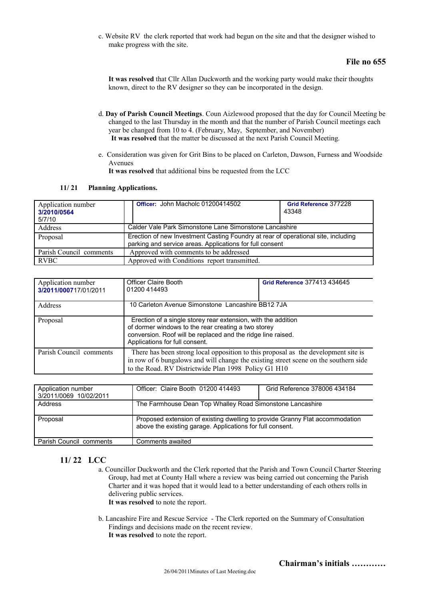c. Website RV the clerk reported that work had begun on the site and that the designer wished to make progress with the site.

## **File no 655**

**It was resolved** that Cllr Allan Duckworth and the working party would make their thoughts known, direct to the RV designer so they can be incorporated in the design.

- d. **Day of Parish Council Meetings**. Coun Aizlewood proposed that the day for Council Meeting be changed to the last Thursday in the month and that the number of Parish Council meetings each year be changed from 10 to 4. (February, May, September, and November) **It was resolved** that the matter be discussed at the next Parish Council Meeting.
- e. Consideration was given for Grit Bins to be placed on Carleton, Dawson, Furness and Woodside Avenues **It was resolved** that additional bins be requested from the LCC

#### **11/ 21 Planning Applications.**

| Application number<br>3/2010/0564<br>5/7/10 | Officer: John Macholc 01200414502                                                                                                             | Grid Reference 377228<br>43348 |  |
|---------------------------------------------|-----------------------------------------------------------------------------------------------------------------------------------------------|--------------------------------|--|
| Address                                     | Calder Vale Park Simonstone Lane Simonstone Lancashire                                                                                        |                                |  |
| Proposal                                    | Erection of new Investment Casting Foundry at rear of operational site, including<br>parking and service areas. Applications for full consent |                                |  |
| Parish Council comments                     | Approved with comments to be addressed                                                                                                        |                                |  |
| <b>RVBC</b>                                 | Approved with Conditions report transmitted.                                                                                                  |                                |  |

| Application number<br>3/2011/000717/01/2011 | <b>Officer Claire Booth</b><br>01200 414493                                                                                                                                                                                        | Grid Reference 377413 434645 |  |
|---------------------------------------------|------------------------------------------------------------------------------------------------------------------------------------------------------------------------------------------------------------------------------------|------------------------------|--|
| Address                                     | 10 Carleton Avenue Simonstone Lancashire BB12 7JA                                                                                                                                                                                  |                              |  |
| Proposal                                    | Erection of a single storey rear extension, with the addition<br>of dormer windows to the rear creating a two storey<br>conversion. Roof will be replaced and the ridge line raised.<br>Applications for full consent.             |                              |  |
| Parish Council comments                     | There has been strong local opposition to this proposal as the development site is<br>in row of 6 bungalows and will change the existing street scene on the southern side<br>to the Road. RV Districtwide Plan 1998 Policy G1 H10 |                              |  |

| Application number<br>3/2011/0069 10/02/2011 | Officer: Claire Booth 01200 414493                                                                                                        | Grid Reference 378006 434184 |
|----------------------------------------------|-------------------------------------------------------------------------------------------------------------------------------------------|------------------------------|
| Address                                      | The Farmhouse Dean Top Whalley Road Simonstone Lancashire                                                                                 |                              |
| Proposal                                     | Proposed extension of existing dwelling to provide Granny Flat accommodation<br>above the existing garage. Applications for full consent. |                              |
| Parish Council comments                      | Comments awaited                                                                                                                          |                              |

## **11/ 22 LCC**

- a. Councillor Duckworth and the Clerk reported that the Parish and Town Council Charter Steering Group, had met at County Hall where a review was being carried out concerning the Parish Charter and it was hoped that it would lead to a better understanding of each others rolls in delivering public services.
	- **It was resolved** to note the report.
- b. Lancashire Fire and Rescue Service The Clerk reported on the Summary of Consultation Findings and decisions made on the recent review.
	- **It was resolved** to note the report.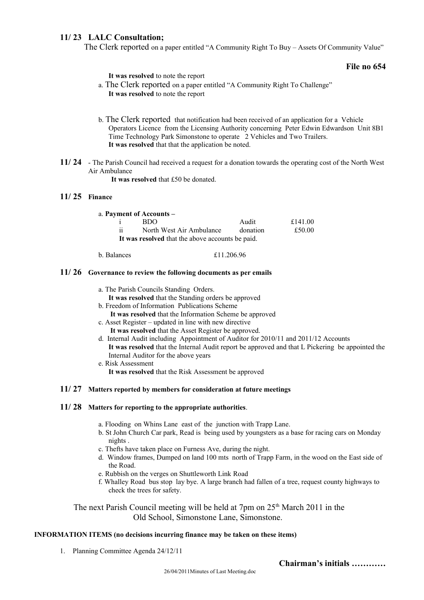## **11/ 23 LALC Consultation;**

The Clerk reported on a paper entitled "A Community Right To Buy – Assets Of Community Value"

## **File no 654**

| It was resolved to note the report |
|------------------------------------|
|------------------------------------|

- a. The Clerk reported on a paper entitled "A Community Right To Challenge" **It was resolved** to note the report
- b. The Clerk reported that notification had been received of an application for a Vehicle Operators Licence from the Licensing Authority concerning Peter Edwin Edwardson Unit 8B1 Time Technology Park Simonstone to operate 2 Vehicles and Two Trailers. **It was resolved** that that the application be noted.
- **11/ 24** The Parish Council had received a request for a donation towards the operating cost of the North West Air Ambulance

**It was resolved** that £50 be donated.

## **11/ 25 Finance**

|                                                  | a. Payment of Accounts – |          |         |  |  |
|--------------------------------------------------|--------------------------|----------|---------|--|--|
|                                                  | BDO.                     | Audit    | £141.00 |  |  |
| $\ddotsc$<br>11                                  | North West Air Ambulance | donation | £50.00  |  |  |
| It was resolved that the above accounts be paid. |                          |          |         |  |  |

b. Balances £11.206.96

### **11/ 26 Governance to review the following documents as per emails**

- **It was resolved** that the Standing orders be approved
- b. Freedom of Information Publications Scheme
	- **It was resolved** that the Information Scheme be approved
- c. Asset Register updated in line with new directive **It was resolved** that the Asset Register be approved.
- d. Internal Audit including Appointment of Auditor for 2010/11 and 2011/12 Accounts **It was resolved** that the Internal Audit report be approved and that L Pickering be appointed the Internal Auditor for the above years
- e. Risk Assessment **It was resolved** that the Risk Assessment be approved

## **11/ 27 Matters reported by members for consideration at future meetings**

#### **11/ 28 Matters for reporting to the appropriate authorities**.

- a. Flooding on Whins Lane east of the junction with Trapp Lane.
- b. St John Church Car park, Read is being used by youngsters as a base for racing cars on Monday nights .
- c. Thefts have taken place on Furness Ave, during the night.
- d. Window frames, Dumped on land 100 mts north of Trapp Farm, in the wood on the East side of the Road.
- e. Rubbish on the verges on Shuttleworth Link Road
- f. Whalley Road bus stop lay bye. A large branch had fallen of a tree, request county highways to check the trees for safety.

The next Parish Council meeting will be held at 7pm on  $25<sup>th</sup>$  March 2011 in the Old School, Simonstone Lane, Simonstone.

### **INFORMATION ITEMS (no decisions incurring finance may be taken on these items)**

1. Planning Committee Agenda 24/12/11